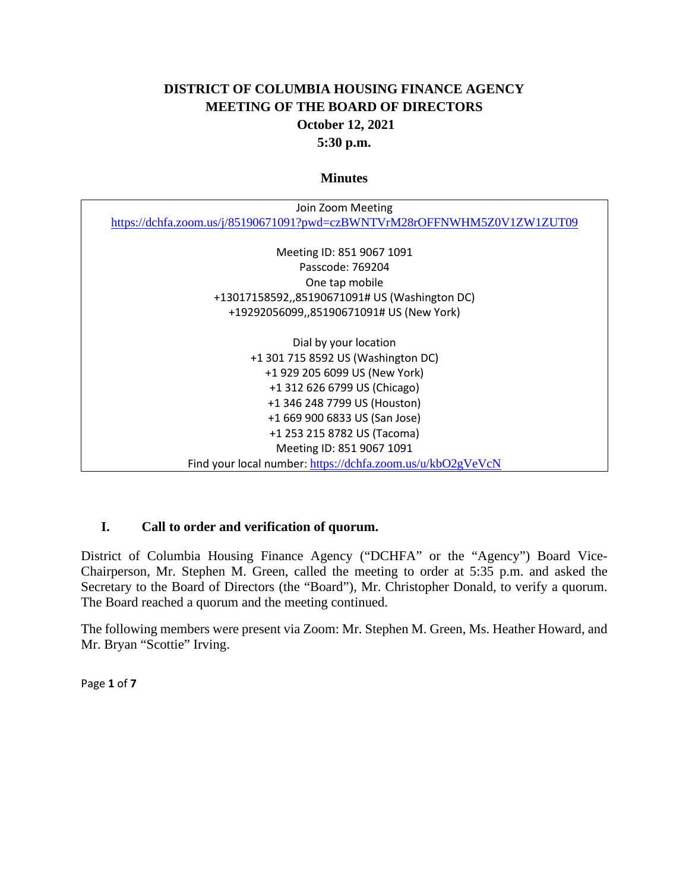# **DISTRICT OF COLUMBIA HOUSING FINANCE AGENCY MEETING OF THE BOARD OF DIRECTORS October 12, 2021 5:30 p.m.**

#### **Minutes**

| Join Zoom Meeting                                                        |
|--------------------------------------------------------------------------|
| https://dchfa.zoom.us/j/85190671091?pwd=czBWNTVrM28rOFFNWHM5Z0V1ZW1ZUT09 |
|                                                                          |
| Meeting ID: 851 9067 1091                                                |
| Passcode: 769204                                                         |
| One tap mobile                                                           |
| +13017158592,,85190671091# US (Washington DC)                            |
| +19292056099,,85190671091# US (New York)                                 |
|                                                                          |
| Dial by your location                                                    |
| +1 301 715 8592 US (Washington DC)                                       |
| +1 929 205 6099 US (New York)                                            |
| +1 312 626 6799 US (Chicago)                                             |
| +1 346 248 7799 US (Houston)                                             |
| +1 669 900 6833 US (San Jose)                                            |
| +1 253 215 8782 US (Tacoma)                                              |
| Meeting ID: 851 9067 1091                                                |
| Find your local number: https://dchfa.zoom.us/u/kbO2gVeVcN               |

## **I. Call to order and verification of quorum.**

District of Columbia Housing Finance Agency ("DCHFA" or the "Agency") Board Vice-Chairperson, Mr. Stephen M. Green, called the meeting to order at 5:35 p.m. and asked the Secretary to the Board of Directors (the "Board"), Mr. Christopher Donald, to verify a quorum. The Board reached a quorum and the meeting continued.

The following members were present via Zoom: Mr. Stephen M. Green, Ms. Heather Howard, and Mr. Bryan "Scottie" Irving.

Page **1** of **7**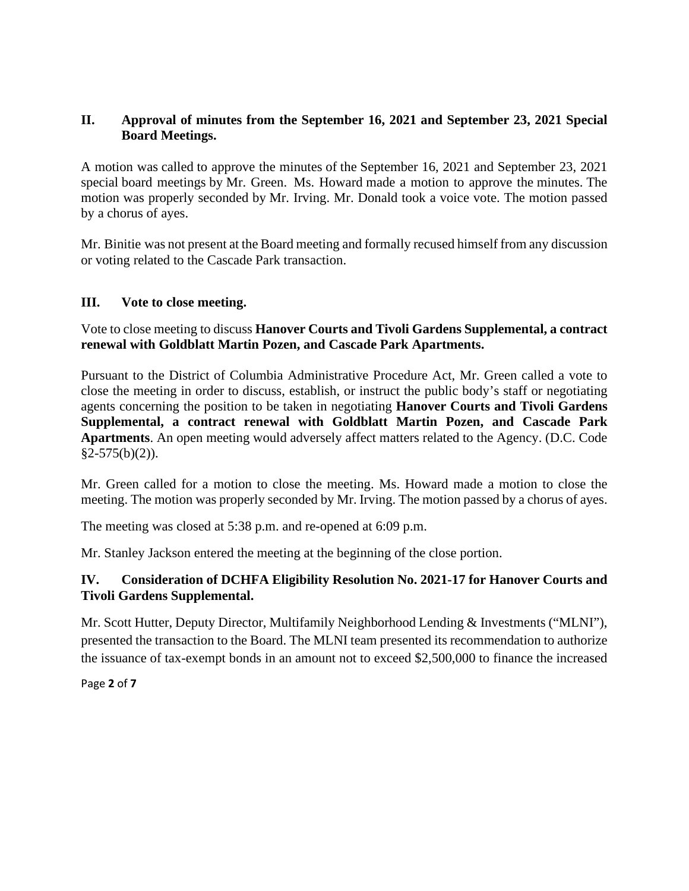# **II. Approval of minutes from the September 16, 2021 and September 23, 2021 Special Board Meetings.**

A motion was called to approve the minutes of the September 16, 2021 and September 23, 2021 special board meetings by Mr. Green. Ms. Howard made a motion to approve the minutes. The motion was properly seconded by Mr. Irving. Mr. Donald took a voice vote. The motion passed by a chorus of ayes.

Mr. Binitie was not present at the Board meeting and formally recused himself from any discussion or voting related to the Cascade Park transaction.

### **III. Vote to close meeting.**

### Vote to close meeting to discuss **Hanover Courts and Tivoli Gardens Supplemental, a contract renewal with Goldblatt Martin Pozen, and Cascade Park Apartments.**

Pursuant to the District of Columbia Administrative Procedure Act, Mr. Green called a vote to close the meeting in order to discuss, establish, or instruct the public body's staff or negotiating agents concerning the position to be taken in negotiating **Hanover Courts and Tivoli Gardens Supplemental, a contract renewal with Goldblatt Martin Pozen, and Cascade Park Apartments**. An open meeting would adversely affect matters related to the Agency. (D.C. Code  $§2-575(b)(2)$ ).

Mr. Green called for a motion to close the meeting. Ms. Howard made a motion to close the meeting. The motion was properly seconded by Mr. Irving. The motion passed by a chorus of ayes.

The meeting was closed at 5:38 p.m. and re-opened at 6:09 p.m.

Mr. Stanley Jackson entered the meeting at the beginning of the close portion.

## **IV. Consideration of DCHFA Eligibility Resolution No. 2021-17 for Hanover Courts and Tivoli Gardens Supplemental.**

Mr. Scott Hutter, Deputy Director, Multifamily Neighborhood Lending & Investments ("MLNI"), presented the transaction to the Board. The MLNI team presented its recommendation to authorize the issuance of tax-exempt bonds in an amount not to exceed \$2,500,000 to finance the increased

Page **2** of **7**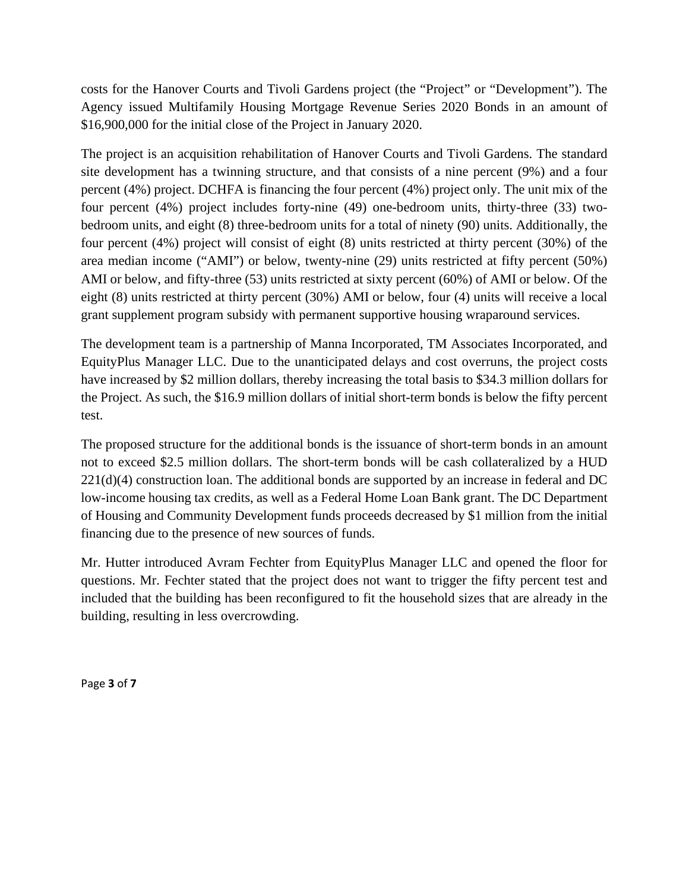costs for the Hanover Courts and Tivoli Gardens project (the "Project" or "Development"). The Agency issued Multifamily Housing Mortgage Revenue Series 2020 Bonds in an amount of \$16,900,000 for the initial close of the Project in January 2020.

The project is an acquisition rehabilitation of Hanover Courts and Tivoli Gardens. The standard site development has a twinning structure, and that consists of a nine percent (9%) and a four percent (4%) project. DCHFA is financing the four percent (4%) project only. The unit mix of the four percent (4%) project includes forty-nine (49) one-bedroom units, thirty-three (33) twobedroom units, and eight (8) three-bedroom units for a total of ninety (90) units. Additionally, the four percent (4%) project will consist of eight (8) units restricted at thirty percent (30%) of the area median income ("AMI") or below, twenty-nine (29) units restricted at fifty percent (50%) AMI or below, and fifty-three (53) units restricted at sixty percent (60%) of AMI or below. Of the eight (8) units restricted at thirty percent (30%) AMI or below, four (4) units will receive a local grant supplement program subsidy with permanent supportive housing wraparound services.

The development team is a partnership of Manna Incorporated, TM Associates Incorporated, and EquityPlus Manager LLC. Due to the unanticipated delays and cost overruns, the project costs have increased by \$2 million dollars, thereby increasing the total basis to \$34.3 million dollars for the Project. As such, the \$16.9 million dollars of initial short-term bonds is below the fifty percent test.

The proposed structure for the additional bonds is the issuance of short-term bonds in an amount not to exceed \$2.5 million dollars. The short-term bonds will be cash collateralized by a HUD  $221(d)(4)$  construction loan. The additional bonds are supported by an increase in federal and DC low-income housing tax credits, as well as a Federal Home Loan Bank grant. The DC Department of Housing and Community Development funds proceeds decreased by \$1 million from the initial financing due to the presence of new sources of funds.

Mr. Hutter introduced Avram Fechter from EquityPlus Manager LLC and opened the floor for questions. Mr. Fechter stated that the project does not want to trigger the fifty percent test and included that the building has been reconfigured to fit the household sizes that are already in the building, resulting in less overcrowding.

Page **3** of **7**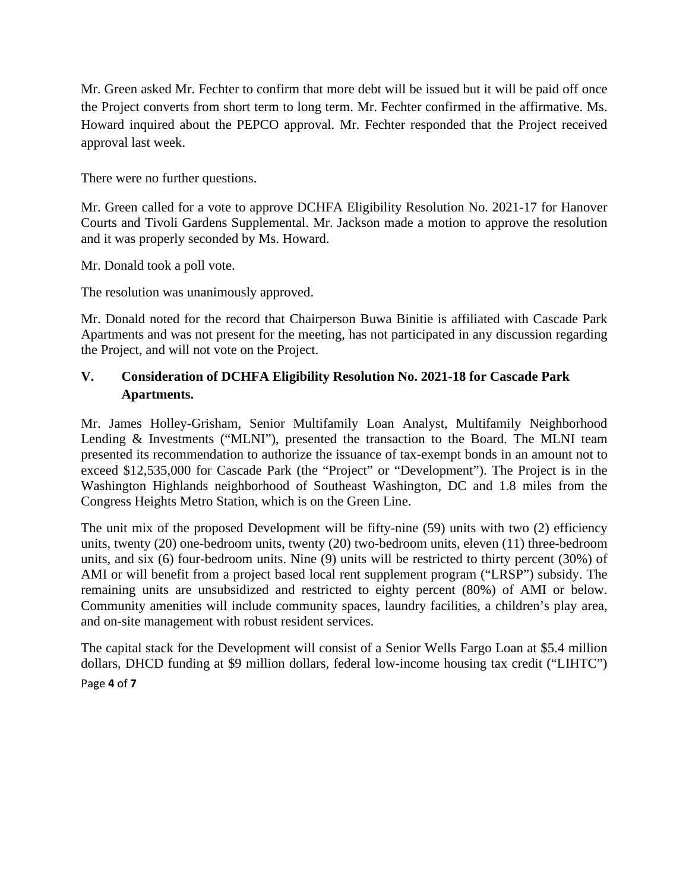Mr. Green asked Mr. Fechter to confirm that more debt will be issued but it will be paid off once the Project converts from short term to long term. Mr. Fechter confirmed in the affirmative. Ms. Howard inquired about the PEPCO approval. Mr. Fechter responded that the Project received approval last week.

There were no further questions.

Mr. Green called for a vote to approve DCHFA Eligibility Resolution No. 2021-17 for Hanover Courts and Tivoli Gardens Supplemental. Mr. Jackson made a motion to approve the resolution and it was properly seconded by Ms. Howard.

Mr. Donald took a poll vote.

The resolution was unanimously approved.

Mr. Donald noted for the record that Chairperson Buwa Binitie is affiliated with Cascade Park Apartments and was not present for the meeting, has not participated in any discussion regarding the Project, and will not vote on the Project.

# **V. Consideration of DCHFA Eligibility Resolution No. 2021-18 for Cascade Park Apartments.**

Mr. James Holley-Grisham, Senior Multifamily Loan Analyst, Multifamily Neighborhood Lending & Investments ("MLNI"), presented the transaction to the Board. The MLNI team presented its recommendation to authorize the issuance of tax-exempt bonds in an amount not to exceed \$12,535,000 for Cascade Park (the "Project" or "Development"). The Project is in the Washington Highlands neighborhood of Southeast Washington, DC and 1.8 miles from the Congress Heights Metro Station, which is on the Green Line.

The unit mix of the proposed Development will be fifty-nine (59) units with two (2) efficiency units, twenty (20) one-bedroom units, twenty (20) two-bedroom units, eleven (11) three-bedroom units, and six (6) four-bedroom units. Nine (9) units will be restricted to thirty percent (30%) of AMI or will benefit from a project based local rent supplement program ("LRSP") subsidy. The remaining units are unsubsidized and restricted to eighty percent (80%) of AMI or below. Community amenities will include community spaces, laundry facilities, a children's play area, and on-site management with robust resident services.

Page **4** of **7** The capital stack for the Development will consist of a Senior Wells Fargo Loan at \$5.4 million dollars, DHCD funding at \$9 million dollars, federal low-income housing tax credit ("LIHTC")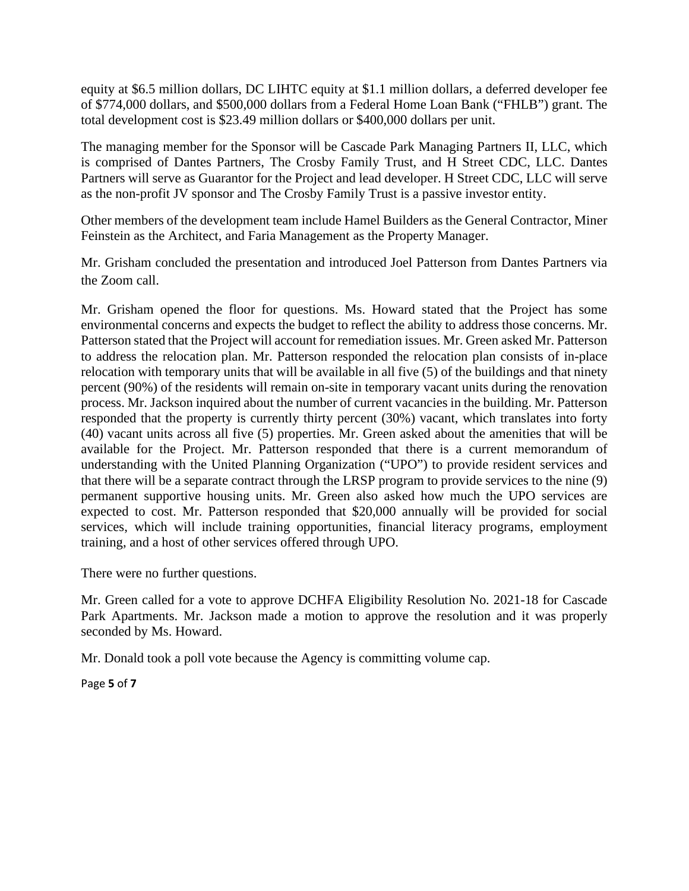equity at \$6.5 million dollars, DC LIHTC equity at \$1.1 million dollars, a deferred developer fee of \$774,000 dollars, and \$500,000 dollars from a Federal Home Loan Bank ("FHLB") grant. The total development cost is \$23.49 million dollars or \$400,000 dollars per unit.

The managing member for the Sponsor will be Cascade Park Managing Partners II, LLC, which is comprised of Dantes Partners, The Crosby Family Trust, and H Street CDC, LLC. Dantes Partners will serve as Guarantor for the Project and lead developer. H Street CDC, LLC will serve as the non-profit JV sponsor and The Crosby Family Trust is a passive investor entity.

Other members of the development team include Hamel Builders as the General Contractor, Miner Feinstein as the Architect, and Faria Management as the Property Manager.

Mr. Grisham concluded the presentation and introduced Joel Patterson from Dantes Partners via the Zoom call.

Mr. Grisham opened the floor for questions. Ms. Howard stated that the Project has some environmental concerns and expects the budget to reflect the ability to address those concerns. Mr. Patterson stated that the Project will account for remediation issues. Mr. Green asked Mr. Patterson to address the relocation plan. Mr. Patterson responded the relocation plan consists of in-place relocation with temporary units that will be available in all five (5) of the buildings and that ninety percent (90%) of the residents will remain on-site in temporary vacant units during the renovation process. Mr. Jackson inquired about the number of current vacancies in the building. Mr. Patterson responded that the property is currently thirty percent (30%) vacant, which translates into forty (40) vacant units across all five (5) properties. Mr. Green asked about the amenities that will be available for the Project. Mr. Patterson responded that there is a current memorandum of understanding with the United Planning Organization ("UPO") to provide resident services and that there will be a separate contract through the LRSP program to provide services to the nine (9) permanent supportive housing units. Mr. Green also asked how much the UPO services are expected to cost. Mr. Patterson responded that \$20,000 annually will be provided for social services, which will include training opportunities, financial literacy programs, employment training, and a host of other services offered through UPO.

There were no further questions.

Mr. Green called for a vote to approve DCHFA Eligibility Resolution No. 2021-18 for Cascade Park Apartments. Mr. Jackson made a motion to approve the resolution and it was properly seconded by Ms. Howard.

Mr. Donald took a poll vote because the Agency is committing volume cap.

Page **5** of **7**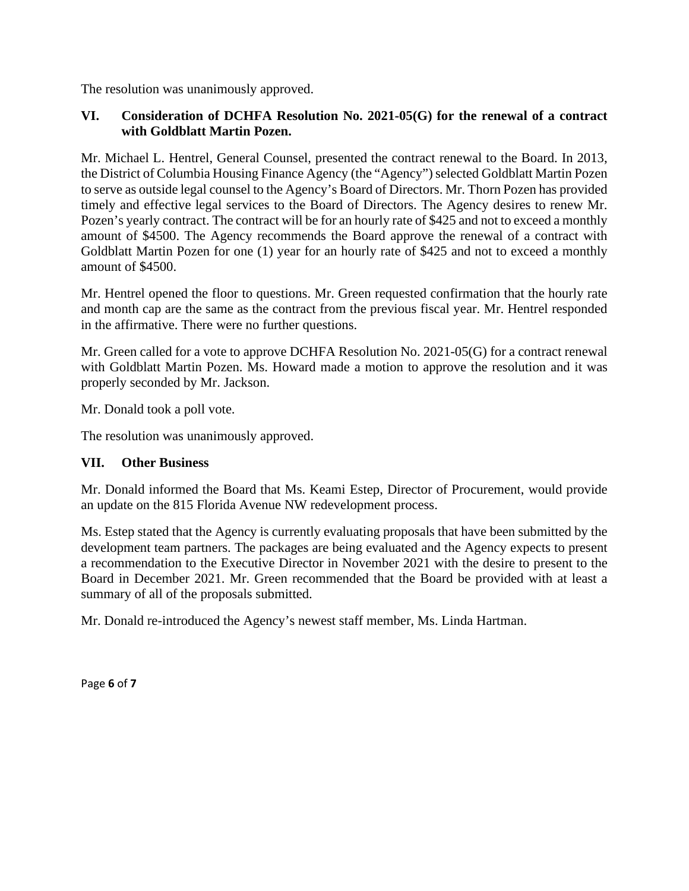The resolution was unanimously approved.

### **VI. Consideration of DCHFA Resolution No. 2021-05(G) for the renewal of a contract with Goldblatt Martin Pozen.**

Mr. Michael L. Hentrel, General Counsel, presented the contract renewal to the Board. In 2013, the District of Columbia Housing Finance Agency (the "Agency") selected Goldblatt Martin Pozen to serve as outside legal counsel to the Agency's Board of Directors. Mr. Thorn Pozen has provided timely and effective legal services to the Board of Directors. The Agency desires to renew Mr. Pozen's yearly contract. The contract will be for an hourly rate of \$425 and not to exceed a monthly amount of \$4500. The Agency recommends the Board approve the renewal of a contract with Goldblatt Martin Pozen for one (1) year for an hourly rate of \$425 and not to exceed a monthly amount of \$4500.

Mr. Hentrel opened the floor to questions. Mr. Green requested confirmation that the hourly rate and month cap are the same as the contract from the previous fiscal year. Mr. Hentrel responded in the affirmative. There were no further questions.

Mr. Green called for a vote to approve DCHFA Resolution No. 2021-05(G) for a contract renewal with Goldblatt Martin Pozen. Ms. Howard made a motion to approve the resolution and it was properly seconded by Mr. Jackson.

Mr. Donald took a poll vote.

The resolution was unanimously approved.

#### **VII. Other Business**

Mr. Donald informed the Board that Ms. Keami Estep, Director of Procurement, would provide an update on the 815 Florida Avenue NW redevelopment process.

Ms. Estep stated that the Agency is currently evaluating proposals that have been submitted by the development team partners. The packages are being evaluated and the Agency expects to present a recommendation to the Executive Director in November 2021 with the desire to present to the Board in December 2021. Mr. Green recommended that the Board be provided with at least a summary of all of the proposals submitted.

Mr. Donald re-introduced the Agency's newest staff member, Ms. Linda Hartman.

Page **6** of **7**